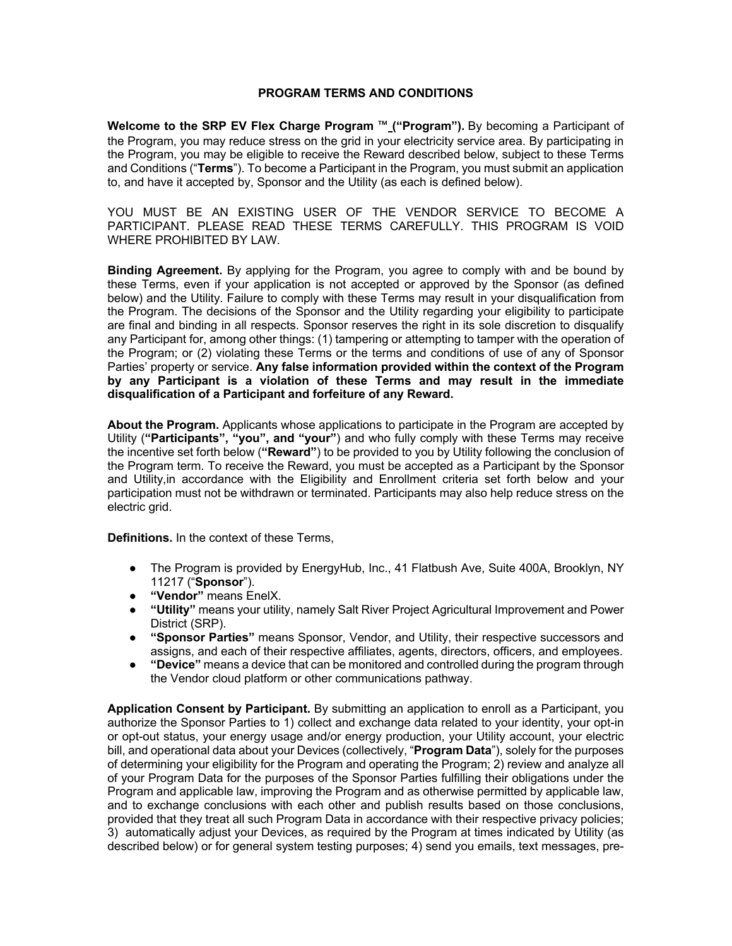## **PROGRAM TERMS AND CONDITIONS**

**Welcome to the SRP EV Flex Charge Program** ™ **("Program").** By becoming a Participant of the Program, you may reduce stress on the grid in your electricity service area. By participating in the Program, you may be eligible to receive the Reward described below, subject to these Terms and Conditions ("**Terms**"). To become a Participant in the Program, you must submit an application to, and have it accepted by, Sponsor and the Utility (as each is defined below).

YOU MUST BE AN EXISTING USER OF THE VENDOR SERVICE TO BECOME A PARTICIPANT. PLEASE READ THESE TERMS CAREFULLY. THIS PROGRAM IS VOID WHERE PROHIBITED BY LAW.

**Binding Agreement.** By applying for the Program, you agree to comply with and be bound by these Terms, even if your application is not accepted or approved by the Sponsor (as defined below) and the Utility. Failure to comply with these Terms may result in your disqualification from the Program. The decisions of the Sponsor and the Utility regarding your eligibility to participate are final and binding in all respects. Sponsor reserves the right in its sole discretion to disqualify any Participant for, among other things: (1) tampering or attempting to tamper with the operation of the Program; or (2) violating these Terms or the terms and conditions of use of any of Sponsor Parties' property or service. **Any false information provided within the context of the Program by any Participant is a violation of these Terms and may result in the immediate disqualification of a Participant and forfeiture of any Reward.**

**About the Program.** Applicants whose applications to participate in the Program are accepted by Utility (**"Participants", "you", and "your"**) and who fully comply with these Terms may receive the incentive set forth below (**"Reward"**) to be provided to you by Utility following the conclusion of the Program term. To receive the Reward, you must be accepted as a Participant by the Sponsor and Utility,in accordance with the Eligibility and Enrollment criteria set forth below and your participation must not be withdrawn or terminated. Participants may also help reduce stress on the electric grid.

**Definitions.** In the context of these Terms,

- The Program is provided by EnergyHub, Inc., 41 Flatbush Ave, Suite 400A, Brooklyn, NY 11217 ("**Sponsor**").
- **"Vendor"** means EnelX.
- **"Utility"** means your utility, namely Salt River Project Agricultural Improvement and Power District (SRP).
- **"Sponsor Parties"** means Sponsor, Vendor, and Utility, their respective successors and assigns, and each of their respective affiliates, agents, directors, officers, and employees.
- **"Device"** means a device that can be monitored and controlled during the program through the Vendor cloud platform or other communications pathway.

**Application Consent by Participant.** By submitting an application to enroll as a Participant, you authorize the Sponsor Parties to 1) collect and exchange data related to your identity, your opt-in or opt-out status, your energy usage and/or energy production, your Utility account, your electric bill, and operational data about your Devices (collectively, "**Program Data**"), solely for the purposes of determining your eligibility for the Program and operating the Program; 2) review and analyze all of your Program Data for the purposes of the Sponsor Parties fulfilling their obligations under the Program and applicable law, improving the Program and as otherwise permitted by applicable law, and to exchange conclusions with each other and publish results based on those conclusions, provided that they treat all such Program Data in accordance with their respective privacy policies; 3) automatically adjust your Devices, as required by the Program at times indicated by Utility (as described below) or for general system testing purposes; 4) send you emails, text messages, pre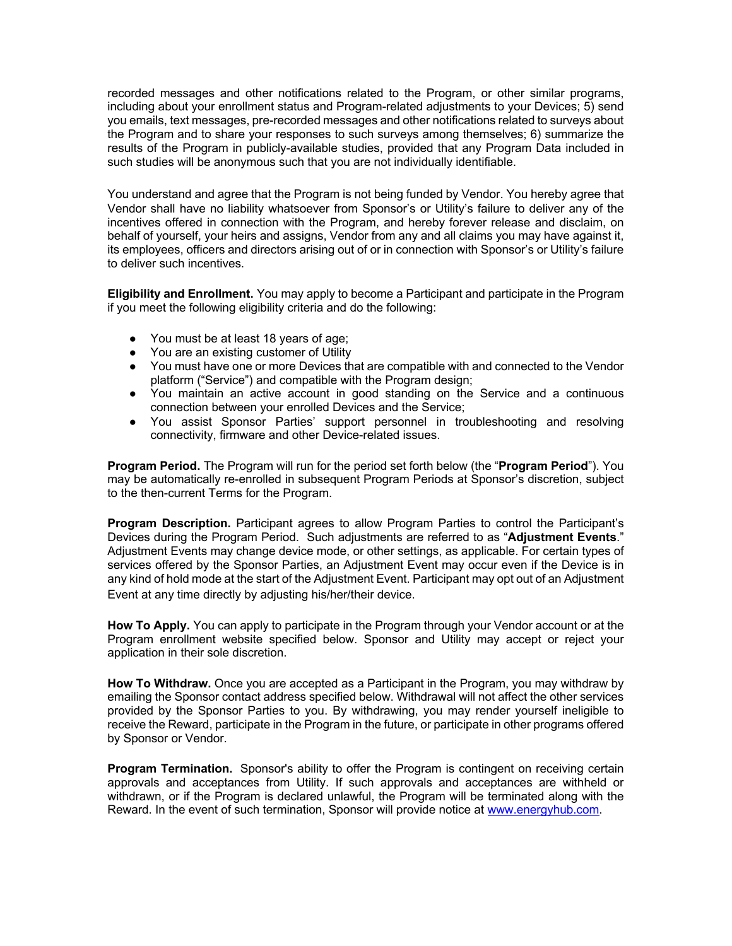recorded messages and other notifications related to the Program, or other similar programs, including about your enrollment status and Program-related adjustments to your Devices; 5) send you emails, text messages, pre-recorded messages and other notifications related to surveys about the Program and to share your responses to such surveys among themselves; 6) summarize the results of the Program in publicly-available studies, provided that any Program Data included in such studies will be anonymous such that you are not individually identifiable.

You understand and agree that the Program is not being funded by Vendor. You hereby agree that Vendor shall have no liability whatsoever from Sponsor's or Utility's failure to deliver any of the incentives offered in connection with the Program, and hereby forever release and disclaim, on behalf of yourself, your heirs and assigns, Vendor from any and all claims you may have against it, its employees, officers and directors arising out of or in connection with Sponsor's or Utility's failure to deliver such incentives.

**Eligibility and Enrollment.** You may apply to become a Participant and participate in the Program if you meet the following eligibility criteria and do the following:

- You must be at least 18 years of age;
- You are an existing customer of Utility
- You must have one or more Devices that are compatible with and connected to the Vendor platform ("Service") and compatible with the Program design;
- You maintain an active account in good standing on the Service and a continuous connection between your enrolled Devices and the Service;
- You assist Sponsor Parties' support personnel in troubleshooting and resolving connectivity, firmware and other Device-related issues.

**Program Period.** The Program will run for the period set forth below (the "**Program Period**"). You may be automatically re-enrolled in subsequent Program Periods at Sponsor's discretion, subject to the then-current Terms for the Program.

**Program Description.** Participant agrees to allow Program Parties to control the Participant's Devices during the Program Period. Such adjustments are referred to as "**Adjustment Events**." Adjustment Events may change device mode, or other settings, as applicable. For certain types of services offered by the Sponsor Parties, an Adjustment Event may occur even if the Device is in any kind of hold mode at the start of the Adjustment Event. Participant may opt out of an Adjustment Event at any time directly by adjusting his/her/their device.

**How To Apply.** You can apply to participate in the Program through your Vendor account or at the Program enrollment website specified below. Sponsor and Utility may accept or reject your application in their sole discretion.

**How To Withdraw.** Once you are accepted as a Participant in the Program, you may withdraw by emailing the Sponsor contact address specified below. Withdrawal will not affect the other services provided by the Sponsor Parties to you. By withdrawing, you may render yourself ineligible to receive the Reward, participate in the Program in the future, or participate in other programs offered by Sponsor or Vendor.

**Program Termination.** Sponsor's ability to offer the Program is contingent on receiving certain approvals and acceptances from Utility. If such approvals and acceptances are withheld or withdrawn, or if the Program is declared unlawful, the Program will be terminated along with the Reward. In the event of such termination, Sponsor will provide notice at www.energyhub.com.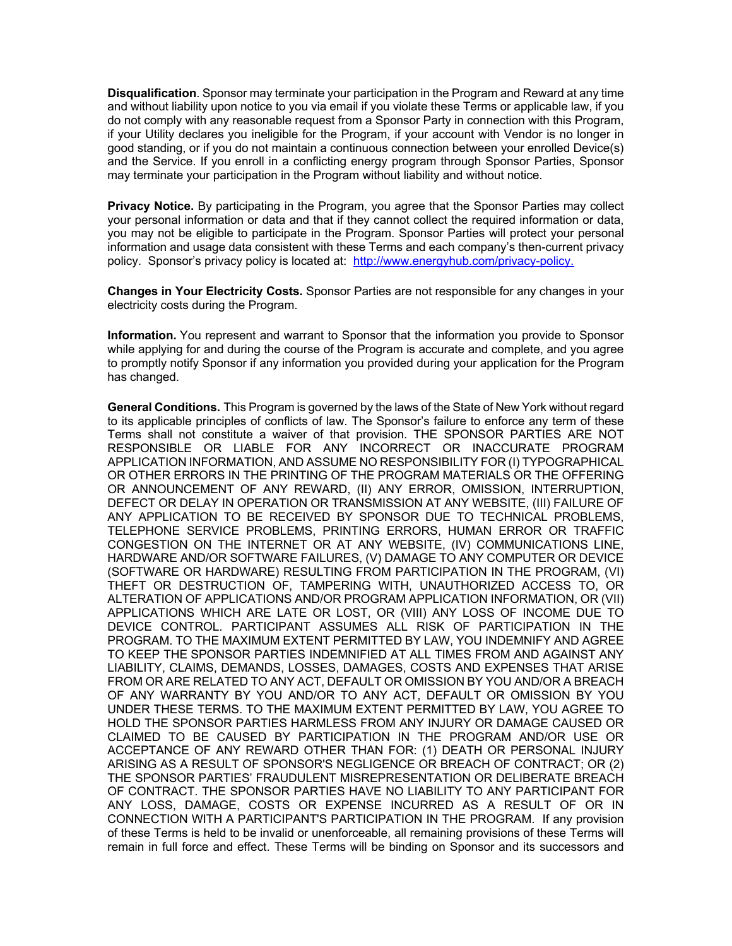**Disqualification**. Sponsor may terminate your participation in the Program and Reward at any time and without liability upon notice to you via email if you violate these Terms or applicable law, if you do not comply with any reasonable request from a Sponsor Party in connection with this Program, if your Utility declares you ineligible for the Program, if your account with Vendor is no longer in good standing, or if you do not maintain a continuous connection between your enrolled Device(s) and the Service. If you enroll in a conflicting energy program through Sponsor Parties, Sponsor may terminate your participation in the Program without liability and without notice.

**Privacy Notice.** By participating in the Program, you agree that the Sponsor Parties may collect your personal information or data and that if they cannot collect the required information or data, you may not be eligible to participate in the Program. Sponsor Parties will protect your personal information and usage data consistent with these Terms and each company's then-current privacy policy. Sponsor's privacy policy is located at: http://www.energyhub.com/privacy-policy.

**Changes in Your Electricity Costs.** Sponsor Parties are not responsible for any changes in your electricity costs during the Program.

**Information.** You represent and warrant to Sponsor that the information you provide to Sponsor while applying for and during the course of the Program is accurate and complete, and you agree to promptly notify Sponsor if any information you provided during your application for the Program has changed.

**General Conditions.** This Program is governed by the laws of the State of New York without regard to its applicable principles of conflicts of law. The Sponsor's failure to enforce any term of these Terms shall not constitute a waiver of that provision. THE SPONSOR PARTIES ARE NOT RESPONSIBLE OR LIABLE FOR ANY INCORRECT OR INACCURATE PROGRAM APPLICATION INFORMATION, AND ASSUME NO RESPONSIBILITY FOR (I) TYPOGRAPHICAL OR OTHER ERRORS IN THE PRINTING OF THE PROGRAM MATERIALS OR THE OFFERING OR ANNOUNCEMENT OF ANY REWARD, (II) ANY ERROR, OMISSION, INTERRUPTION, DEFECT OR DELAY IN OPERATION OR TRANSMISSION AT ANY WEBSITE, (III) FAILURE OF ANY APPLICATION TO BE RECEIVED BY SPONSOR DUE TO TECHNICAL PROBLEMS, TELEPHONE SERVICE PROBLEMS, PRINTING ERRORS, HUMAN ERROR OR TRAFFIC CONGESTION ON THE INTERNET OR AT ANY WEBSITE, (IV) COMMUNICATIONS LINE, HARDWARE AND/OR SOFTWARE FAILURES, (V) DAMAGE TO ANY COMPUTER OR DEVICE (SOFTWARE OR HARDWARE) RESULTING FROM PARTICIPATION IN THE PROGRAM, (VI) THEFT OR DESTRUCTION OF, TAMPERING WITH, UNAUTHORIZED ACCESS TO, OR ALTERATION OF APPLICATIONS AND/OR PROGRAM APPLICATION INFORMATION, OR (VII) APPLICATIONS WHICH ARE LATE OR LOST, OR (VIII) ANY LOSS OF INCOME DUE TO DEVICE CONTROL. PARTICIPANT ASSUMES ALL RISK OF PARTICIPATION IN THE PROGRAM. TO THE MAXIMUM EXTENT PERMITTED BY LAW, YOU INDEMNIFY AND AGREE TO KEEP THE SPONSOR PARTIES INDEMNIFIED AT ALL TIMES FROM AND AGAINST ANY LIABILITY, CLAIMS, DEMANDS, LOSSES, DAMAGES, COSTS AND EXPENSES THAT ARISE FROM OR ARE RELATED TO ANY ACT, DEFAULT OR OMISSION BY YOU AND/OR A BREACH OF ANY WARRANTY BY YOU AND/OR TO ANY ACT, DEFAULT OR OMISSION BY YOU UNDER THESE TERMS. TO THE MAXIMUM EXTENT PERMITTED BY LAW, YOU AGREE TO HOLD THE SPONSOR PARTIES HARMLESS FROM ANY INJURY OR DAMAGE CAUSED OR CLAIMED TO BE CAUSED BY PARTICIPATION IN THE PROGRAM AND/OR USE OR ACCEPTANCE OF ANY REWARD OTHER THAN FOR: (1) DEATH OR PERSONAL INJURY ARISING AS A RESULT OF SPONSOR'S NEGLIGENCE OR BREACH OF CONTRACT; OR (2) THE SPONSOR PARTIES' FRAUDULENT MISREPRESENTATION OR DELIBERATE BREACH OF CONTRACT. THE SPONSOR PARTIES HAVE NO LIABILITY TO ANY PARTICIPANT FOR ANY LOSS, DAMAGE, COSTS OR EXPENSE INCURRED AS A RESULT OF OR IN CONNECTION WITH A PARTICIPANT'S PARTICIPATION IN THE PROGRAM. If any provision of these Terms is held to be invalid or unenforceable, all remaining provisions of these Terms will remain in full force and effect. These Terms will be binding on Sponsor and its successors and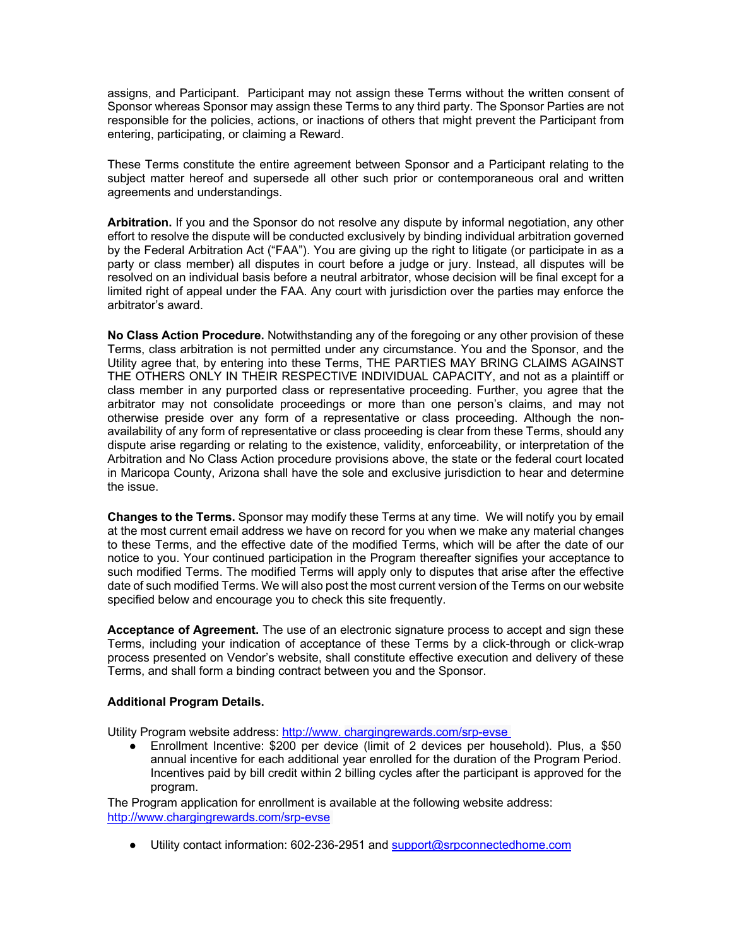assigns, and Participant. Participant may not assign these Terms without the written consent of Sponsor whereas Sponsor may assign these Terms to any third party. The Sponsor Parties are not responsible for the policies, actions, or inactions of others that might prevent the Participant from entering, participating, or claiming a Reward.

These Terms constitute the entire agreement between Sponsor and a Participant relating to the subject matter hereof and supersede all other such prior or contemporaneous oral and written agreements and understandings.

**Arbitration.** If you and the Sponsor do not resolve any dispute by informal negotiation, any other effort to resolve the dispute will be conducted exclusively by binding individual arbitration governed by the Federal Arbitration Act ("FAA"). You are giving up the right to litigate (or participate in as a party or class member) all disputes in court before a judge or jury. Instead, all disputes will be resolved on an individual basis before a neutral arbitrator, whose decision will be final except for a limited right of appeal under the FAA. Any court with jurisdiction over the parties may enforce the arbitrator's award.

**No Class Action Procedure.** Notwithstanding any of the foregoing or any other provision of these Terms, class arbitration is not permitted under any circumstance. You and the Sponsor, and the Utility agree that, by entering into these Terms, THE PARTIES MAY BRING CLAIMS AGAINST THE OTHERS ONLY IN THEIR RESPECTIVE INDIVIDUAL CAPACITY, and not as a plaintiff or class member in any purported class or representative proceeding. Further, you agree that the arbitrator may not consolidate proceedings or more than one person's claims, and may not otherwise preside over any form of a representative or class proceeding. Although the nonavailability of any form of representative or class proceeding is clear from these Terms, should any dispute arise regarding or relating to the existence, validity, enforceability, or interpretation of the Arbitration and No Class Action procedure provisions above, the state or the federal court located in Maricopa County, Arizona shall have the sole and exclusive jurisdiction to hear and determine the issue.

**Changes to the Terms.** Sponsor may modify these Terms at any time. We will notify you by email at the most current email address we have on record for you when we make any material changes to these Terms, and the effective date of the modified Terms, which will be after the date of our notice to you. Your continued participation in the Program thereafter signifies your acceptance to such modified Terms. The modified Terms will apply only to disputes that arise after the effective date of such modified Terms. We will also post the most current version of the Terms on our website specified below and encourage you to check this site frequently.

**Acceptance of Agreement.** The use of an electronic signature process to accept and sign these Terms, including your indication of acceptance of these Terms by a click-through or click-wrap process presented on Vendor's website, shall constitute effective execution and delivery of these Terms, and shall form a binding contract between you and the Sponsor.

## **Additional Program Details.**

Utility Program website address: http://www. chargingrewards.com/srp-evse

● Enrollment Incentive: \$200 per device (limit of 2 devices per household). Plus, a \$50 annual incentive for each additional year enrolled for the duration of the Program Period. Incentives paid by bill credit within 2 billing cycles after the participant is approved for the program.

The Program application for enrollment is available at the following website address: http://www.chargingrewards.com/srp-evse

● Utility contact information: 602-236-2951 and support@srpconnectedhome.com